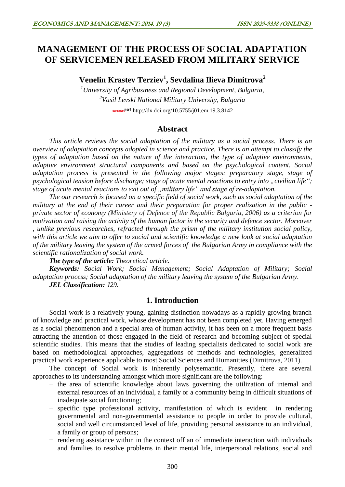# **MANAGEMENT OF THE PROCESS OF SOCIAL ADAPTATION OF SERVICEMEN RELEASED FROM MILITARY SERVICE**

**Venelin Krastev Terziev<sup>1</sup> , Sevdalina Ilieva Dimitrova<sup>2</sup>**

*<sup>1</sup>University of Agribusiness and Regional Development, Bulgaria, 2 Vasil Levski National Military University, Bulgaria* cross<sup>ref</sup> <http://dx.doi.org/10.5755/j01.em.19.3.8142>

## **Abstract**

*This article reviews the social adaptation of the military as a social process. There is an overview of adaptation concepts adopted in science and practice. There is an attempt to classify the types of adaptation based on the nature of the interaction, the type of adaptive environments, adaptive environment structural components and based on the psychological content. Social adaptation process is presented in the following major stages: preparatory stage, stage of psychological tension before discharge; stage of acute mental reactions to entry into "civilian life"; stage of acute mental reactions to exit out of , military life" and stage of re-adaptation.* 

*The our research is focused on a specific field of social work, such as social adaptation of the military at the end of their career and their preparation for proper realization in the public private sector of economy (Ministery of Defence of the Republic Bulgaria, 2006) as a criterion for motivation and raising the activity of the human factor in the security and defence sector. Moreover , unlike previous researches, refracted through the prism of the military institution social policy, with this article we aim to offer to social and scientific knowledge a new look at social adaptation of the military leaving the system of the armed forces of the Bulgarian Army in compliance with the scientific rationalization of social work.*

*The type of the article: Theoretical article.*

*Keywords: Social Work; Social Management; Social Adaptation of Military; Social adaptation process; Social adaptation of the military leaving the system of the Bulgarian Army. JEL Classification: J29.*

## **1. Introduction**

Social work is a relatively young, gaining distinction nowadays as a rapidly growing branch of knowledge and practical work, whose development has not been completed yet. Having emerged as a social phenomenon and a special area of human activity, it has been on a more frequent basis attracting the attention of those engaged in the field of research and becoming subject of special scientific studies. This means that the studies of leading specialists dedicated to social work are based on methodological approaches, aggregations of methods and technologies, generalized practical work experience applicable to most Social Sciences and Humanities (Dimitrova, 2011).

The concept of Social work is inherently polysemantic. Presently, there are several approaches to its understanding amongst which more significant are the following:

- − the area of scientific knowledge about laws governing the utilization of internal and external resources of an individual, a family or a community being in difficult situations of inadequate social functioning;
- − specific type professional activity, manifestation of which is evident in rendering governmental and non-governmental assistance to people in order to provide cultural, social and well circumstanced level of life, providing personal assistance to an individual, a family or group of persons;
- − rendering assistance within in the context off an of immediate interaction with individuals and families to resolve problems in their mental life, interpersonal relations, social and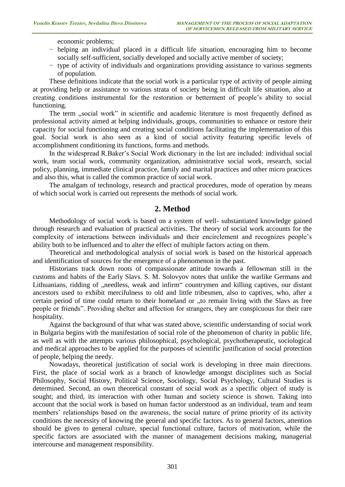economic problems;

- − helping an individual placed in a difficult life situation, encouraging him to become socially self-sufficient, socially developed and socially active member of society;
- − type of activity of individuals and organizations providing assistance to various segments of population.

These definitions indicate that the social work is a particular type of activity of people aiming at providing help or assistance to various strata of society being in difficult life situation, also at creating conditions instrumental for the restoration or betterment of people's ability to social functioning.

The term "social work" in scientific and academic literature is most frequently defined as professional activity aimed at helping individuals, groups, communities to enhance or restore their capacity for social functioning and creating social conditions facilitating the implementation of this goal. Social work is also seen as a kind of social activity featuring specific levels of accomplishment conditioning its functions, forms and methods.

In the widespread R.Baker's Social Work dictionary in the list are included: individual social work, team social work, community organization, administrative social work, research, social policy, planning, immediate clinical practice, family and marital practices and other micro practices and also this, what is called the common practice of social work.

The amalgam of technology, research and practical procedures, mode of operation by means of which social work is carried out represents the methods of social work.

## **2. Method**

Methodology of social work is based on a system of well- substantiated knowledge gained through research and evaluation of practical activities. The theory of social work accounts for the complexity of interactions between individuals and their encirclement and recognizes people's ability both to be influenced and to alter the effect of multiple factors acting on them.

Theoretical and methodological analysis of social work is based on the historical approach and identification of sources for the emergence of a phenomenon in the past.

Historians track down roots of compassionate attitude towards a fellowman still in the customs and habits of the Early Slavs. S. M. Solovyov notes that unlike the warlike Germans and Lithuanians, ridding of "needless, weak and infirm" countrymen and killing captives, our distant ancestors used to exhibit mercifulness to old and little tribesmen, also to captives, who, after a certain period of time could return to their homeland or "to remain living with the Slavs as free people or friends". Providing shelter and affection for strangers, they are conspicuous for their rare hospitality.

Against the background of that what was stated above, scientific understanding of social work in Bulgaria begins with the manifestation of social role of the phenomenon of charity in public life, as well as with the attempts various philosophical, psychological, psychotherapeutic, sociological and medical approaches to be applied for the purposes of scientific justification of social protection of people, helping the needy.

Nowadays, theoretical justification of social work is developing in three main directions. First, the place of social work as a branch of knowledge amongst disciplines such as Social Philosophy, Social History, Political Science, Sociology, Social Psychology, Cultural Studies is determined. Second, an own theoretical constant of social work as a specific object of study is sought; and third, its interaction with other human and society science is shown. Taking into account that the social work is based on human factor understood as an individual, team and team members' relationships based on the awareness, the social nature of prime priority of its activity conditions the necessity of knowing the general and specific factors. As to general factors, attention should be given to general culture, special functional culture, factors of motivation, while the specific factors are associated with the manner of management decisions making, managerial intercourse and management responsibility.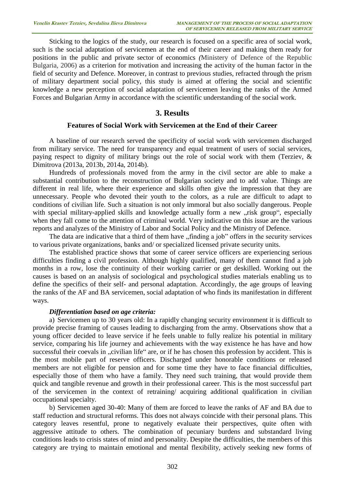Sticking to the logics of the study, our research is focused on a specific area of social work, such is the social adaptation of servicemen at the end of their career and making them ready for positions in the public and private sector of economics *(*Ministery of Defence of the Republic Bulgaria, 2006) as a criterion for motivation and increasing the activity of the human factor in the field of security and Defence. Moreover, in contrast to previous studies, refracted through the prism of military department social policy, this study is aimed at offering the social and scientific knowledge a new perception of social adaptation of servicemen leaving the ranks of the Armed Forces and Bulgarian Army in accordance with the scientific understanding of the social work.

### **3. Results**

#### **Features of Social Work with Servicemen at the End of their Career**

A baseline of our research served the specificity of social work with servicemen discharged from military service. The need for transparency and equal treatment of users of social services, paying respect to dignity of military brings out the role of social work with them (Terziev, & Dimitrova (2013a, 2013b, 2014a, 2014b).

Hundreds of professionals moved from the army in the civil sector are able to make a substantial contribution to the reconstruction of Bulgarian society and to add value. Things are different in real life, where their experience and skills often give the impression that they are unnecessary. People who devoted their youth to the colors, as a rule are difficult to adapt to conditions of civilian life. Such a situation is not only immoral but also socially dangerous. People with special military-applied skills and knowledge actually form a new "risk group", especially when they fall come to the attention of criminal world. Very indicative on this issue are the various reports and analyzes of the Ministry of Labor and Social Policy and the Ministry of Defence.

The data are indicative that a third of them have "finding a job" offers in the security services to various private organizations, banks and/ or specialized licensed private security units.

The established practice shows that some of career service officers are experiencing serious difficulties finding a civil profession. Although highly qualified, many of them cannot find a job months in a row, lose the continuity of their working carrier or get deskilled. Working out the causes is based on an analysis of sociological and psychological studies materials enabling us to define the specifics of their self- and personal adaptation. Accordingly, the age groups of leaving the ranks of the AF and BA servicemen, social adaptation of who finds its manifestation in different ways.

#### *Differentiation based on age criteria:*

a) Servicemen up to 30 years old: In a rapidly changing security environment it is difficult to provide precise framing of causes leading to discharging from the army. Observations show that a young officer decided to leave service if he feels unable to fully realize his potential in military service, comparing his life journey and achievements with the way existence he has have and how successful their coevals in "civilian life" are, or if he has chosen this profession by accident. This is the most mobile part of reserve officers. Discharged under honorable conditions or released members are not eligible for pension and for some time they have to face financial difficulties, especially those of them who have a family. They need such training, that would provide them quick and tangible revenue and growth in their professional career. This is the most successful part of the servicemen in the context of retraining/ acquiring additional qualification in civilian occupational specialty.

b) Servicemen aged 30-40: Many of them are forced to leave the ranks of AF and BA due to staff reduction and structural reforms. This does not always coincide with their personal plans. This category leaves resentful, prone to negatively evaluate their perspectives, quite often with aggressive attitude to others. The combination of pecuniary burdens and substandard living conditions leads to crisis states of mind and personality. Despite the difficulties, the members of this category are trying to maintain emotional and mental flexibility, actively seeking new forms of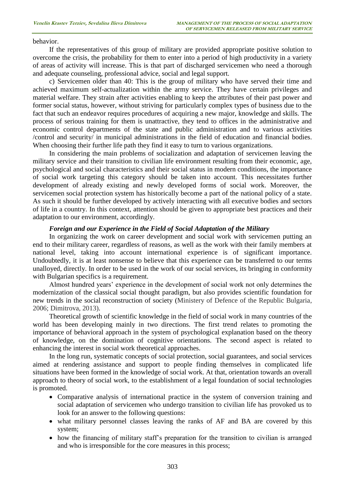behavior.

If the representatives of this group of military are provided appropriate positive solution to overcome the crisis, the probability for them to enter into a period of high productivity in a variety of areas of activity will increase. This is that part of discharged servicemen who need a thorough and adequate counseling, professional advice, social and legal support.

c) Servicemen older than 40: This is the group of military who have served their time and achieved maximum self-actualization within the army service. They have certain privileges and material welfare. They strain after activities enabling to keep the attributes of their past power and former social status, however, without striving for particularly complex types of business due to the fact that such an endeavor requires procedures of acquiring a new major, knowledge and skills. The process of serious training for them is unattractive, they tend to offices in the administrative and economic control departments of the state and public administration and to various activities /control and security/ in municipal administrations in the field of education and financial bodies. When choosing their further life path they find it easy to turn to various organizations.

In considering the main problems of socialization and adaptation of servicemen leaving the military service and their transition to civilian life environment resulting from their economic, age, psychological and social characteristics and their social status in modern conditions, the importance of social work targeting this category should be taken into account. This necessitates further development of already existing and newly developed forms of social work. Moreover, the servicemen social protection system has historically become a part of the national policy of a state. As such it should be further developed by actively interacting with all executive bodies and sectors of life in a country. In this context, attention should be given to appropriate best practices and their adaptation to our environment, accordingly.

#### *Foreign and our Experience in the Field of Social Adaptation of the Military*

In organizing the work on career development and social work with servicemen putting an end to their military career, regardless of reasons, as well as the work with their family members at national level, taking into account international experience is of significant importance. Undoubtedly, it is at least nonsense to believe that this experience can be transferred to our terms unalloyed, directly. In order to be used in the work of our social services, its bringing in conformity with Bulgarian specifics is a requirement.

Almost hundred years' experience in the development of social work not only determines the modernization of the classical social thought paradigm, but also provides scientific foundation for new trends in the social reconstruction of society (Ministery of Defence of the Republic Bulgaria, 2006; Dimitrova, 2013).

Theoretical growth of scientific knowledge in the field of social work in many countries of the world has been developing mainly in two directions. The first trend relates to promoting the importance of behavioral approach in the system of psychological explanation based on the theory of knowledge, on the domination of cognitive orientations. The second aspect is related to enhancing the interest in social work theoretical approaches.

In the long run, systematic concepts of social protection, social guarantees, and social services aimed at rendering assistance and support to people finding themselves in complicated life situations have been formed in the knowledge of social work. At that, orientation towards an overall approach to theory of social work, to the establishment of a legal foundation of social technologies is promoted.

- Comparative analysis of international practice in the system of conversion training and social adaptation of servicemen who undergo transition to civilian life has provoked us to look for an answer to the following questions:
- what military personnel classes leaving the ranks of AF and BA are covered by this system;
- how the financing of military staff's preparation for the transition to civilian is arranged and who is irresponsible for the core measures in this process;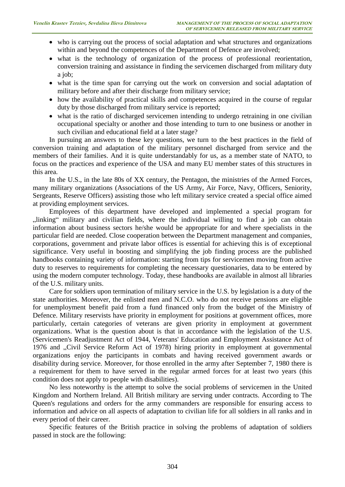- who is carrying out the process of social adaptation and what structures and organizations within and beyond the competences of the Department of Defence are involved;
- what is the technology of organization of the process of professional reorientation, conversion training and assistance in finding the servicemen discharged from military duty a job;
- what is the time span for carrying out the work on conversion and social adaptation of military before and after their discharge from military service;
- how the availability of practical skills and competences acquired in the course of regular duty by those discharged from military service is reported;
- what is the ratio of discharged servicemen intending to undergo retraining in one civilian occupational specialty or another and those intending to turn to one business or another in such civilian and educational field at a later stage?

In pursuing an answers to these key questions, we turn to the best practices in the field of conversion training and adaptation of the military personnel discharged from service and the members of their families. And it is quite understandably for us, as a member state of NATO, to focus on the practices and experience of the USA and many EU member states of this structures in this area.

In the U.S., in the late 80s of XX century, the Pentagon, the ministries of the Armed Forces, many military organizations (Associations of the US Army, Air Force, Navy, Officers, Seniority, Sergeants, Reserve Officers) assisting those who left military service created a special office aimed at providing employment services.

Employees of this department have developed and implemented a special program for "linking" military and civilian fields, where the individual willing to find a job can obtain information about business sectors he/she would be appropriate for and where specialists in the particular field are needed. Close cooperation between the Department management and companies, corporations, government and private labor offices is essential for achieving this is of exceptional significance. Very useful in boosting and simplifying the job finding process are the published handbooks containing variety of information: starting from tips for servicemen moving from active duty to reserves to requirements for completing the necessary questionaries, data to be entered by using the modern computer technology. Today, these handbooks are available in almost all libraries of the U.S. military units.

Care for soldiers upon termination of military service in the U.S. by legislation is a duty of the state authorities. Moreover, the enlisted men and N.C.O. who do not receive pensions are eligible for unemployment benefit paid from a fund financed only from the budget of the Ministry of Defence. Military reservists have priority in employment for positions at government offices, more particularly, certain categories of veterans are given priority in employment at government organizations. What is the question about is that in accordance with the legislation of the U.S. (Servicemen's Readjustment Act of 1944, Veterans' Education and Employment Assistance Act of 1976 and "Civil Service Reform Act of 1978) hiring priority in employment at governmental organizations enjoy the participants in combats and having received government awards or disability during service. Moreover, for those enrolled in the army after September 7, 1980 there is a requirement for them to have served in the regular armed forces for at least two years (this condition does not apply to people with disabilities).

No less noteworthy is the attempt to solve the social problems of servicemen in the United Kingdom and Northern Ireland. All British military are serving under contracts. According to The Queen's regulations and orders for the army commanders are responsible for ensuring access to information and advice on all aspects of adaptation to civilian life for all soldiers in all ranks and in every period of their career.

Specific features of the British practice in solving the problems of adaptation of soldiers passed in stock are the following: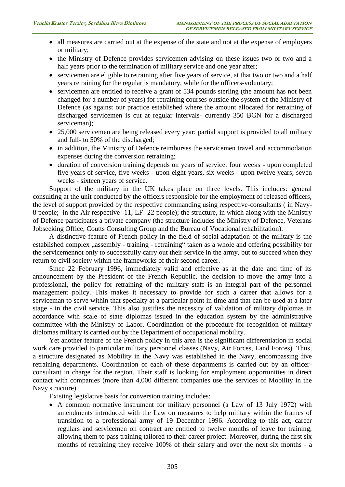- all measures are carried out at the expense of the state and not at the expense of employers or military;
- the Ministry of Defence provides servicemen advising on these issues two or two and a half years prior to the termination of military service and one year after;
- servicemen are eligible to retraining after five years of service, at that two or two and a half years retraining for the regular is mandatory, while for the officers-voluntary;
- servicemen are entitled to receive a grant of 534 pounds sterling (the amount has not been changed for a number of years) for retraining courses outside the system of the Ministry of Defence (as against our practice established where the amount allocated for retraining of discharged servicemen is cut at regular intervals- currently 350 BGN for a discharged serviceman);
- 25,000 servicemen are being released every year; partial support is provided to all military and full- to 50% of the discharged;
- in addition, the Ministry of Defence reimburses the servicemen travel and accommodation expenses during the conversion retraining;
- duration of conversion training depends on years of service: four weeks upon completed five years of service, five weeks - upon eight years, six weeks - upon twelve years; seven weeks - sixteen years of service.

Support of the military in the UK takes place on three levels. This includes: general consulting at the unit conducted by the officers responsible for the employment of released officers, the level of support provided by the respective commanding using respective-consultants ( in Navy-8 people; in the Air respective- 11, LF -22 people); the structure, in which along with the Ministry of Defence participates a private company (the structure includes the Ministry of Defence, Veterans Jobseeking Office, Coutts Consulting Group and the Bureau of Vocational rehabilitation).

A distinctive feature of French policy in the field of social adaptation of the military is the established complex "assembly - training - retraining" taken as a whole and offering possibility for the servicemennot only to successfully carry out their service in the army, but to succeed when they return to civil society within the frameworks of their second career.

Since 22 February 1996, immediately valid and effective as at the date and time of its announcement by the President of the French Republic, the decision to move the army into a professional, the policy for retraining of the military staff is an integral part of the personnel management policy. This makes it necessary to provide for such a career that allows for a serviceman to serve within that specialty at a particular point in time and that can be used at a later stage - in the civil service. This also justifies the necessity of validation of military diplomas in accordance with scale of state diplomas issued in the education system by the administrative committee with the Ministry of Labor. Coordination of the procedure for recognition of military diplomas military is carried out by the Department of occupational mobility.

Yet another feature of the French policy in this area is the significant differentiation in social work care provided to particular military personnel classes (Navy, Air Forces, Land Forces). Thus, a structure designated as Mobility in the Navy was established in the Navy, encompassing five retraining departments. Coordination of each of these departments is carried out by an officerconsultant in charge for the region. Their staff is looking for employment opportunities in direct contact with companies (more than 4,000 different companies use the services of Mobility in the Navy structure).

Existing legislative basis for conversion training includes:

 A common normative instrument for military personnel (a Law of 13 July 1972) with amendments introduced with the Law on measures to help military within the frames of transition to a professional army of 19 December 1996. According to this act, career regulars and servicemen on contract are entitled to twelve months of leave for training, allowing them to pass training tailored to their career project. Moreover, during the first six months of retraining they receive 100% of their salary and over the next six months - a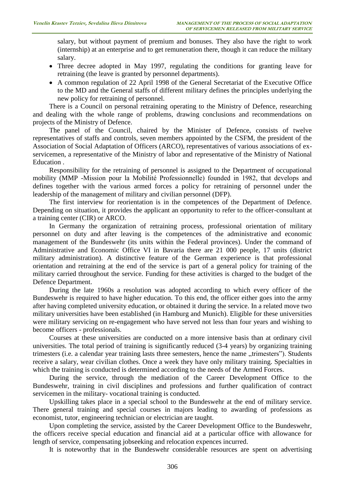salary, but without payment of premium and bonuses. They also have the right to work (internship) at an enterprise and to get remuneration there, though it can reduce the military salary.

- Three decree adopted in May 1997, regulating the conditions for granting leave for retraining (the leave is granted by personnel departments).
- A common regulation of 22 April 1998 of the General Secretariat of the Executive Office to the MD and the General staffs of different military defines the principles underlying the new policy for retraining of personnel.

There is a Council on personal retraining operating to the Ministry of Defence, researching and dealing with the whole range of problems, drawing conclusions and recommendations on projects of the Ministry of Defence.

The panel of the Council, chaired by the Minister of Defence, consists of twelve representatives of staffs and controls, seven members appointed by the CSFM, the president of the Association of Social Adaptation of Officers (ARCO), representatives of various associations of exservicemen, a representative of the Ministry of labor and representative of the Ministry of National Education .

Responsibility for the retraining of personnel is assigned to the Department of occupational mobility (MMP -Mission pour la Mobilité Professionnelle) founded in 1982, that develops and defines together with the various armed forces a policy for retraining of personnel under the leadership of the management of military and civilian personnel (DFP).

The first interview for reorientation is in the competences of the Department of Defence. Depending on situation, it provides the applicant an opportunity to refer to the officer-consultant at a training center (CIR) or ARCO.

In Germany the organization of retraining process, professional orientation of military personnel on duty and after leaving is the competences of the administrative and economic management of the Bundeswehr (its units within the Federal provinces). Under the command of Administrative and Economic Office VI in Bavaria there are 21 000 people, 17 units (district military administration). A distinctive feature of the German experience is that professional orientation and retraining at the end of the service is part of a general policy for training of the military carried throughout the service. Funding for these activities is charged to the budget of the Defence Department.

During the late 1960s a resolution was adopted according to which every officer of the Bundeswehr is required to have higher education. To this end, the officer either goes into the army after having completed university education, or obtained it during the service. In a related move two military universities have been established (in Hamburg and Munich). Eligible for these universities were military servicing on re-engagement who have served not less than four years and wishing to become officers - professionals.

Courses at these universities are conducted on a more intensive basis than at ordinary civil universities. The total period of training is significantly reduced (3-4 years) by organizing training trimesters (i.e. a calendar year training lasts three semesters, hence the name "trimesters"). Students receive a salary, wear civilian clothes. Once a week they have only military training. Specialties in which the training is conducted is determined according to the needs of the Armed Forces.

During the service, through the mediation of the Career Development Office to the Bundeswehr, training in civil disciplines and professions and further qualification of contract servicemen in the military- vocational training is conducted.

Upskilling takes place in a special school to the Bundeswehr at the end of military service. There general training and special courses in majors leading to awarding of professions as economist, tutor, engineering technician or electrician are taught.

Upon completing the service, assisted by the Career Development Office to the Bundeswehr, the officers receive special education and financial aid at a particular office with allowance for length of service, compensating jobseeking and relocation expences incurred.

It is noteworthy that in the Bundeswehr considerable resources are spent on advertising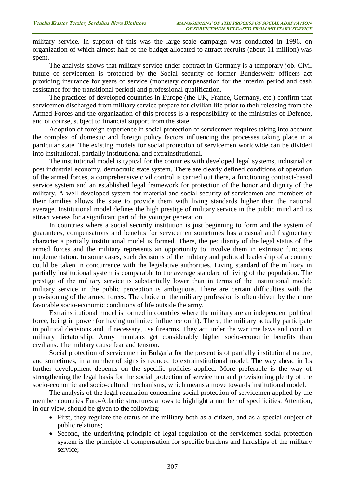military service. In support of this was the large-scale campaign was conducted in 1996, on organization of which almost half of the budget allocated to attract recruits (about 11 million) was spent.

The analysis shows that military service under contract in Germany is a temporary job. Civil future of servicemen is protected by the Social security of former Bundeswehr officers act providing insurance for years of service (monetary compensation for the interim period and cash assistance for the transitional period) and professional qualification.

The practices of developed countries in Europe (the UK, France, Germany, etc.) confirm that servicemen discharged from military service prepare for civilian life prior to their releasing from the Armed Forces and the organization of this process is a responsibility of the ministries of Defence, and of course, subject to financial support from the state.

Adoption of foreign experience in social protection of servicemen requires taking into account the complex of domestic and foreign policy factors influencing the processes taking place in a particular state. The existing models for social protection of servicemen worldwide can be divided into institutional, partially institutional and extrainstitutional.

The institutional model is typical for the countries with developed legal systems, industrial or post industrial economy, democratic state system. There are clearly defined conditions of operation of the armed forces, a comprehensive civil control is carried out there, a functioning contract-based service system and an established legal framework for protection of the honor and dignity of the military. A well-developed system for material and social security of servicemen and members of their families allows the state to provide them with living standards higher than the national average. Institutional model defines the high prestige of military service in the public mind and its attractiveness for a significant part of the younger generation.

In countries where a social security institution is just beginning to form and the system of guarantees, compensations and benefits for servicemen sometimes has a casual and fragmentary character a partially institutional model is formed. There, the peculiarity of the legal status of the armed forces and the military represents an opportunity to involve them in extrinsic functions implementation. In some cases, such decisions of the military and political leadership of a country could be taken in concurrence with the legislative authorities. Living standard of the military in partially institutional system is comparable to the average standard of living of the population. The prestige of the military service is substantially lower than in terms of the institutional model; military service in the public perception is ambiguous. There are certain difficulties with the provisioning of the armed forces. The choice of the military profession is often driven by the more favorable socio-economic conditions of life outside the army.

Extrainstitutional model is formed in countries where the military are an independent political force, being in power (or having unlimited influence on it). There, the military actually participate in political decisions and, if necessary, use firearms. They act under the wartime laws and conduct military dictatorship. Army members get considerably higher socio-economic benefits than civilians. The military cause fear and tension.

Social protection of servicemen in Bulgaria for the present is of partially institutional nature, and sometimes, in a number of signs is reduced to extrainstitutional model. The way ahead in Its further development depends on the specific policies applied. More preferable is the way of strengthening the legal basis for the social protection of servicemen and provisioning plenty of the socio-economic and socio-cultural mechanisms, which means a move towards institutional model.

The analysis of the legal regulation concerning social protection of servicemen applied by the member countries Euro-Atlantic structures allows to highlight a number of specificities. Attention, in our view, should be given to the following:

- First, they regulate the status of the military both as a citizen, and as a special subject of public relations;
- Second, the underlying principle of legal regulation of the servicemen social protection system is the principle of compensation for specific burdens and hardships of the military service;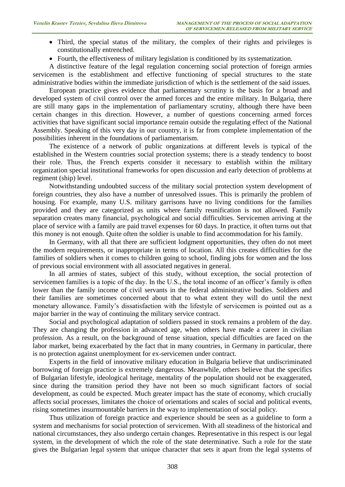- Third, the special status of the military, the complex of their rights and privileges is constitutionally entrenched.
- Fourth, the effectiveness of military legislation is conditioned by its systematization.

A distinctive feature of the legal regulation concerning social protection of foreign armies servicemen is the establishment and effective functioning of special structures to the state administrative bodies within the immediate jurisdiction of which is the settlement of the said issues.

European practice gives evidence that parliamentary scrutiny is the basis for a broad and developed system of civil control over the armed forces and the entire military. In Bulgaria, there are still many gaps in the implementation of parliamentary scrutiny, although there have been certain changes in this direction. However, a number of questions concerning armed forces activities that have significant social importance remain outside the regulating effect of the National Assembly. Speaking of this very day in our country, it is far from complete implementation of the possibilities inherent in the foundations of parliamentarism.

The existence of a network of public organizations at different levels is typical of the established in the Western countries social protection systems; there is a steady tendency to boost their role. Thus, the French experts consider it necessary to establish within the military organization special institutional frameworks for open discussion and early detection of problems at regiment (ship) level.

Notwithstanding undoubted success of the military social protection system development of foreign countries, they also have a number of unresolved issues. This is primarily the problem of housing. For example, many U.S. military garrisons have no living conditions for the families provided and they are categorized as units where family reunification is not allowed. Family separation creates many financial, psychological and social difficulties. Servicemen arriving at the place of service with a family are paid travel expenses for 60 days. In practice, it often turns out that this money is not enough. Quite often the soldier is unable to find accommodation for his family.

In Germany, with all that there are sufficient lodgment opportunities, they often do not meet the modern requirements, or inappropriate in terms of location. All this creates difficulties for the families of soldiers when it comes to children going to school, finding jobs for women and the loss of previous social environment with all associated negatives in general.

In all armies of states, subject of this study, without exception, the social protection of servicemen families is a topic of the day. In the U.S., the total income of an officer's family is often lower than the family income of civil servants in the federal administrative bodies. Soldiers and their families are sometimes concerned about that to what extent they will do until the next monetary allowance. Family's dissatisfaction with the lifestyle of servicemen is pointed out as a major barrier in the way of continuing the military service contract.

Social and psychological adaptation of soldiers passed in stock remains a problem of the day. They are changing the profession in advanced age, when others have made a career in civilian profession. As a result, on the background of tense situation, special difficulties are faced on the labor market, being exacerbated by the fact that in many countries, in Germany in particular, there is no protection against unemployment for ex-servicemen under contract.

Experts in the field of innovative military education in Bulgaria believe that undiscriminated borrowing of foreign practice is extremely dangerous. Meanwhile, others believe that the specifics of Bulgarian lifestyle, ideological heritage, mentality of the population should not be exaggerated, since during the transition period they have not been so much significant factors of social development, as could be expected. Much greater impact has the state of economy, which crucially affects social processes, limitates the choice of orientations and scales of social and political events, rising sometimes insurmountable barriers in the way to implementation of social policy.

Thus utilization of foreign practice and experience should be seen as a guideline to form a system and mechanisms for social protection of servicemen. With all steadiness of the historical and national circumstances, they also undergo certain changes. Representative in this respect is our legal system, in the development of which the role of the state determinative. Such a role for the state gives the Bulgarian legal system that unique character that sets it apart from the legal systems of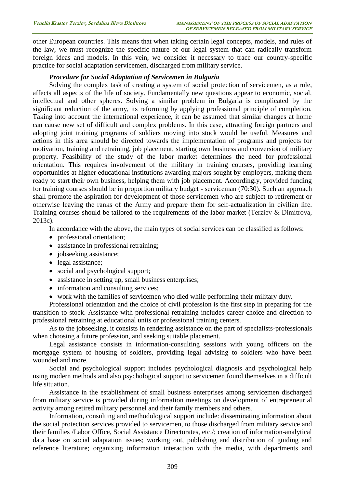other European countries. This means that when taking certain legal concepts, models, and rules of the law, we must recognize the specific nature of our legal system that can radically transform foreign ideas and models. In this vein, we consider it necessary to trace our country-specific practice for social adaptation servicemen, discharged from military service.

#### *Procedure for Social Adaptation of Servicemen in Bulgaria*

Solving the complex task of creating a system of social protection of servicemen, as a rule, affects all aspects of the life of society. Fundamentally new questions appear to economic, social, intellectual and other spheres. Solving a similar problem in Bulgaria is complicated by the significant reduction of the army, its reforming by applying professional principle of completion. Taking into account the international experience, it can be assumed that similar changes at home can cause new set of difficult and complex problems. In this case, attracting foreign partners and adopting joint training programs of soldiers moving into stock would be useful. Measures and actions in this area should be directed towards the implementation of programs and projects for motivation, training and retraining, job placement, starting own business and conversion of military property. Feasibility of the study of the labor market determines the need for professional orientation. This requires involvement of the military in training courses, providing learning opportunities at higher educational institutions awarding majors sought by employers, making them ready to start their own business, helping them with job placement. Accordingly, provided funding for training courses should be in proportion military budget - serviceman (70:30). Such an approach shall promote the aspiration for development of those servicemen who are subject to retirement or otherwise leaving the ranks of the Army and prepare them for self-actualization in civilian life. Training courses should be tailored to the requirements of the labor market (Terziev & Dimitrova, 2013c).

In accordance with the above, the main types of social services can be classified as follows:

- professional orientation;
- assistance in professional retraining;
- jobseeking assistance;
- legal assistance;
- social and psychological support;
- assistance in setting up, small business enterprises;
- information and consulting services;
- work with the families of servicemen who died while performing their military duty.

Professional orientation and the choice of civil profession is the first step in preparing for the transition to stock. Assistance with professional retraining includes career choice and direction to professional retraining at educational units or professional training centers.

As to the jobseeking, it consists in rendering assistance on the part of specialists-professionals when choosing a future profession, and seeking suitable placement.

Legal assistance consists in information-consulting sessions with young officers on the mortgage system of housing of soldiers, providing legal advising to soldiers who have been wounded and more.

Social and psychological support includes psychological diagnosis and psychological help using modern methods and also psychological support to servicemen found themselves in a difficult life situation.

Assistance in the establishment of small business enterprises among servicemen discharged from military service is provided during information meetings on development of entrepreneurial activity among retired military personnel and their family members and others.

Information, consulting and methodological support include: disseminating information about the social protection services provided to servicemen, to those discharged from military service and their families /Labor Office, Social Assistance Directorates, etc./; creation of information-analytical data base on social adaptation issues; working out, publishing and distribution of guiding and reference literature; organizing information interaction with the media, with departments and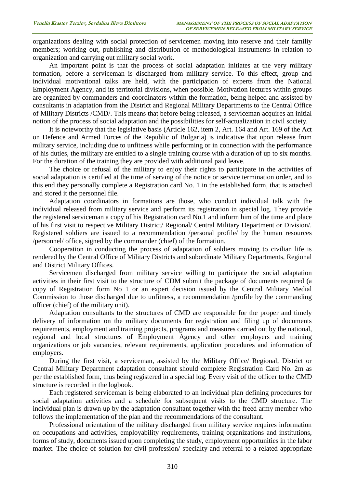organizations dealing with social protection of servicemen moving into reserve and their familiy members; working out, publishing and distribution of methodological instruments in relation to organization and carrying out military social work.

An important point is that the process of social adaptation initiates at the very military formation, before a serviceman is discharged from military service. To this effect, group and individual motivational talks are held, with the participation of experts from the National Employment Agency, and its territorial divisions, when possible. Motivation lectures within groups are organized by commanders and coordinators within the formation, being helped and assisted by consultants in adaptation from the District and Regional Military Departments to the Central Office of Military Districts /CMD/. This means that before being released, a serviceman acquires an initial notion of the process of social adaptation and the possibilities for self-actualization in civil society.

It is noteworthy that the legislative basis (Article 162, item 2, Art. 164 and Art. 169 of the Act on Defence and Armed Forces of the Republic of Bulgaria) is indicative that upon release from military service, including due to unfitness while performing or in connection with the performance of his duties, the military are entitled to a single training course with a duration of up to six months. For the duration of the training they are provided with additional paid leave.

The choice or refusal of the military to enjoy their rights to participate in the activities of social adaptation is certified at the time of serving of the notice or service termination order, and to this end they personally complete a Registration card No. 1 in the established form, that is attached and stored it the personnel file.

Adaptation coordinators in formations are those, who conduct individual talk with the individual released from military service and perform its registration in special log. They provide the registered serviceman a copy of his Registration card No.1 and inform him of the time and place of his first visit to respective Military District/ Regional/ Central Military Department or Division/. Registered soldiers are issued to a recommendation /personal profile/ by the human resources /personnel/ office, signed by the commander (chief) of the formation.

Cooperation in conducting the process of adaptation of soldiers moving to civilian life is rendered by the Central Office of Military Districts and subordinate Military Departments, Regional and District Military Offices.

Servicemen discharged from military service willing to participate the social adaptation activities in their first visit to the structure of CDM submit the package of documents required (a copy of Registration form No 1 or an expert decision issued by the Central Military Medial Commission to those discharged due to unfitness, a recommendation /profile by the commanding officer (chief) of the military unit).

Adaptation consultants to the structures of CMD are responsible for the proper and timely delivery of information on the military documents for registration and filing up of documents requirements, employment and training projects, programs and measures carried out by the national, regional and local structures of Employment Agency and other employers and training organizations or job vacancies, relevant requirements, application procedures and information of employers.

During the first visit, a serviceman, assisted by the Military Office/ Regional, District or Central Military Department adaptation consultant should complete Registration Card No. 2m as per the established form, thus being registered in a special log. Every visit of the officer to the CMD structure is recorded in the logbook.

Each registered serviceman is being elaborated to an individual plan defining procedures for social adaptation activities and a schedule for subsequent visits to the CMD structure. The individual plan is drawn up by the adaptation consultant together with the freed army member who follows the implementation of the plan and the recommendations of the consultant.

Professional orientation of the military discharged from military service requires information on occupations and activities, employability requirements, training organizations and institutions, forms of study, documents issued upon completing the study, employment opportunities in the labor market. The choice of solution for civil profession/ specialty and referral to a related appropriate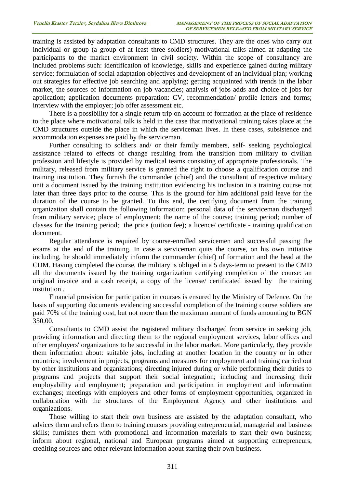training is assisted by adaptation consultants to CMD structures. They are the ones who carry out individual or group (a group of at least three soldiers) motivational talks aimed at adapting the participants to the market environment in civil society. Within the scope of consultancy are included problems such: identification of knowledge, skills and experience gained during military service; formulation of social adaptation objectives and development of an individual plan; working out strategies for effective job searching and applying; getting acquainted with trends in the labor market, the sources of information on job vacancies; analysis of jobs adds and choice of jobs for application; application documents preparation: CV, recommendation/ profile letters and forms; interview with the employer; job offer assessment etc.

There is a possibility for a single return trip on account of formation at the place of residence to the place where motivational talk is held in the case that motivational training takes place at the CMD structures outside the place in which the serviceman lives. In these cases, subsistence and accommodation expenses are paid by the serviceman.

Further consulting to soldiers and/ or their family members, self- seeking psychological assistance related to effects of change resulting from the transition from military to civilian profession and lifestyle is provided by medical teams consisting of appropriate professionals. The military, released from military service is granted the right to choose a qualification course and training institution. They furnish the commander (chief) and the consultant of respective military unit a document issued by the training institution evidencing his inclusion in a training course not later than three days prior to the course. This is the ground for him additional paid leave for the duration of the course to be granted. To this end, the certifying document from the training organization shall contain the following information: personal data of the serviceman discharged from military service; place of employment; the name of the course; training period; number of classes for the training period; the price (tuition fee); a licence/ certificate - training qualification document.

Regular attendance is required by course-enrolled servicemen and successful passing the exams at the end of the training. In case a serviceman quits the course, on his own initiative including, he should immediately inform the commander (chief) of formation and the head at the CDM. Having completed the course, the military is obliged in a 5 days-term to present to the CMD all the documents issued by the training organization certifying completion of the course: an original invoice and a cash receipt, a copy of the license/ certificated issued by the training institution .

Financial provision for participation in courses is ensured by the Ministry of Defence. On the basis of supporting documents evidencing successful completion of the training course soldiers are paid 70% of the training cost, but not more than the maximum amount of funds amounting to BGN 350.00.

Consultants to CMD assist the registered military discharged from service in seeking job, providing information and directing them to the regional employment services, labor offices and other employers' organizations to be successful in the labor market. More particularly, they provide them information about: suitable jobs, including at another location in the country or in other countries; involvement in projects, programs and measures for employment and training carried out by other institutions and organizations; directing injured during or while performing their duties to programs and projects that support their social integration; including and increasing their employability and employment; preparation and participation in employment and information exchanges; meetings with employers and other forms of employment opportunities, organized in collaboration with the structures of the Employment Agency and other institutions and organizations.

Those willing to start their own business are assisted by the adaptation consultant, who advices them and refers them to training courses providing entrepreneurial, managerial and business skills; furnishes them with promotional and information materials to start their own business; inform about regional, national and European programs aimed at supporting entrepreneurs, crediting sources and other relevant information about starting their own business.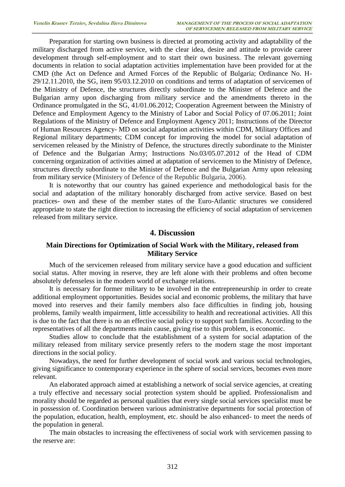Preparation for starting own business is directed at promoting activity and adaptability of the military discharged from active service, with the clear idea, desire and attitude to provide career development through self-employment and to start their own business. The relevant governing documents in relation to social adaptation activities implementation have been provided for at the CMD (the Act on Defence and Armed Forces of the Republic of Bulgaria; Ordinance No. H-29/12.11.2010, the SG, item 95/03.12.2010 on conditions and terms of adaptation of servicemen of the Ministry of Defence, the structures directly subordinate to the Minister of Defence and the Bulgarian army upon discharging from military service and the amendments thereto in the Ordinance promulgated in the SG, 41/01.06.2012; Cooperation Agreement between the Ministry of Defence and Employment Agency to the Ministry of Labor and Social Policy of 07.06.2011; Joint Regulations of the Ministry of Defence and Employment Agency 2011; Instructions of the Director of Human Resources Agency- MD on social adaptation activities within CDM, Military Offices and Regional military departments; CDM concept for improving the model for social adaptation of servicemen released by the Ministry of Defence, the structures directly subordinate to the Minister of Defence and the Bulgarian Army; Instructions No.03/05.07.2012 of the Head of CDM concerning organization of activities aimed at adaptation of servicemen to the Ministry of Defence, structures directly subordinate to the Minister of Defence and the Bulgarian Army upon releasing from military service (Ministery of Defence of the Republic Bulgaria, 2006).

It is noteworthy that our country has gained experience and methodological basis for the social and adaptation of the military honorably discharged from active service. Based on best practices- own and these of the member states of the Euro-Atlantic structures we considered appropriate to state the right direction to increasing the efficiency of social adaptation of servicemen released from military service.

## **4. Discussion**

#### **Main Directions for Optimization of Social Work with the Military, released from Military Service**

Much of the servicemen released from military service have a good education and sufficient social status. After moving in reserve, they are left alone with their problems and often become absolutely defenseless in the modern world of exchange relations.

It is necessary for former military to be involved in the entrepreneurship in order to create additional employment opportunities. Besides social and economic problems, the military that have moved into reserves and their family members also face difficulties in finding job, housing problems, family wealth impairment, little accessibility to health and recreational activities. All this is due to the fact that there is no an effective social policy to support such families. According to the representatives of all the departments main cause, giving rise to this problem, is economic.

Studies allow to conclude that the establishment of a system for social adaptation of the military released from military service presently refers to the modern stage the most important directions in the social policy.

Nowadays, the need for further development of social work and various social technologies, giving significance to contemporary experience in the sphere of social services, becomes even more relevant.

An elaborated approach aimed at establishing a network of social service agencies, at creating a truly effective and necessary social protection system should be applied. Professionalism and morality should be regarded as personal qualities that every single social services specialist must be in possession of. Coordination between various administrative departments for social protection of the population, education, health, employment, etc. should be also enhanced- to meet the needs of the population in general.

The main obstacles to increasing the effectiveness of social work with servicemen passing to the reserve are: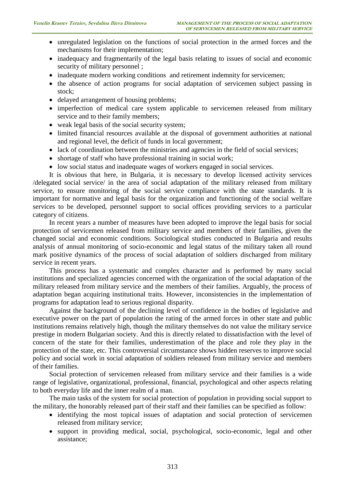- unregulated legislation on the functions of social protection in the armed forces and the mechanisms for their implementation;
- inadequacy and fragmentarily of the legal basis relating to issues of social and economic security of military personnel;
- inadequate modern working conditions and retirement indemnity for servicemen;
- the absence of action programs for social adaptation of servicemen subject passing in stock;
- delayed arrangement of housing problems;
- imperfection of medical care system applicable to servicemen released from military service and to their family members;
- weak legal basis of the social security system;
- limited financial resources available at the disposal of government authorities at national and regional level, the deficit of funds in local government;
- lack of coordination between the ministries and agencies in the field of social services;
- shortage of staff who have professional training in social work;
- low social status and inadequate wages of workers engaged in social services.

It is obvious that here, in Bulgaria, it is necessary to develop licensed activity services /delegated social service/ in the area of social adaptation of the military released from military service, to ensure monitoring of the social service compliance with the state standards. It is important for normative and legal basis for the organization and functioning of the social welfare services to be developed, personnel support to social offices providing services to a particular category of citizens.

In recent years a number of measures have been adopted to improve the legal basis for social protection of servicemen released from military service and members of their families, given the changed social and economic conditions. Sociological studies conducted in Bulgaria and results analysis of annual monitoring of socio-economic and legal status of the military taken all round mark positive dynamics of the process of social adaptation of soldiers discharged from military service in recent years.

This process has a systematic and complex character and is performed by many social institutions and specialized agencies concerned with the organization of the social adaptation of the military released from military service and the members of their families. Arguably, the process of adaptation began acquiring institutional traits. However, inconsistencies in the implementation of programs for adaptation lead to serious regional disparity.

Against the background of the declining level of confidence in the bodies of legislative and executive power on the part of population the rating of the armed forces in other state and public institutions remains relatively high, though the military themselves do not value the military service prestige in modern Bulgarian society. And this is directly related to dissatisfaction with the level of concern of the state for their families, underestimation of the place and role they play in the protection of the state, etc. This controversial circumstance shows hidden reserves to improve social policy and social work in social adaptation of soldiers released from military service and members of their families.

Social protection of servicemen released from military service and their families is a wide range of legislative, organizational, professional, financial, psychological and other aspects relating to both everyday life and the inner realm of a man.

The main tasks of the system for social protection of population in providing social support to the military, the honorably released part of their staff and their families can be specified as follow:

- identifying the most topical issues of adaptation and social protection of servicemen released from military service;
- support in providing medical, social, psychological, socio-economic, legal and other assistance;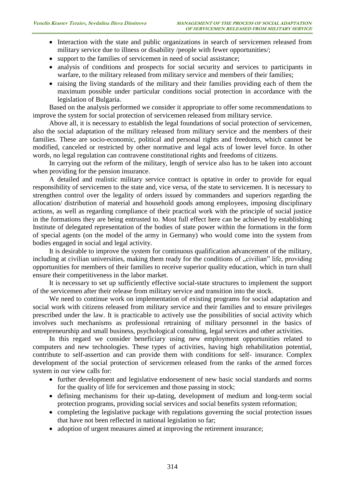- Interaction with the state and public organizations in search of servicemen released from military service due to illness or disability /people with fewer opportunities/;
- support to the families of servicemen in need of social assistance;
- analysis of conditions and prospects for social security and services to participants in warfare, to the military released from military service and members of their families;
- raising the living standards of the military and their families providing each of them the maximum possible under particular conditions social protection in accordance with the legislation of Bulgaria.

Based on the analysis performed we consider it appropriate to offer some recommendations to improve the system for social protection of servicemen released from military service.

Above all, it is necessary to establish the legal foundations of social protection of servicemen, also the social adaptation of the military released from military service and the members of their families. These are socio-economic, political and personal rights and freedoms, which cannot be modified, canceled or restricted by other normative and legal acts of lower level force. In other words, no legal regulation can contravene constitutional rights and freedoms of citizens.

In carrying out the reform of the military, length of service also has to be taken into account when providing for the pension insurance.

A detailed and realistic military service contract is optative in order to provide for equal responsibility of servicemen to the state and, vice versa, of the state to servicemen. It is necessary to strengthen control over the legality of orders issued by commanders and superiors regarding the allocation/ distribution of material and household goods among employees, imposing disciplinary actions, as well as regarding compliance of their practical work with the principle of social justice in the formations they are being entrusted to. Most full effect here can be achieved by establishing Institute of delegated representation of the bodies of state power within the formations in the form of special agents (on the model of the army in Germany) who would come into the system from bodies engaged in social and legal activity.

It is desirable to improve the system for continuous qualification advancement of the military, including at civilian universities, making them ready for the conditions of "civilian" life, providing opportunities for members of their families to receive superior quality education, which in turn shall ensure their competitiveness in the labor market.

It is necessary to set up sufficiently effective social-state structures to implement the support of the servicemen after their release from military service and transition into the stock.

We need to continue work on implementation of existing programs for social adaptation and social work with citizens released from military service and their families and to ensure privileges prescribed under the law. It is practicable to actively use the possibilities of social activity which involves such mechanisms as professional retraining of military personnel in the basics of entrepreneurship and small business, psychological consulting, legal services and other activities.

In this regard we consider beneficiary using new employment opportunities related to computers and new technologies. These types of activities, having high rehabilitation potential, contribute to self-assertion and can provide them with conditions for self- insurance. Complex development of the social protection of servicemen released from the ranks of the armed forces system in our view calls for:

- further development and legislative endorsement of new basic social standards and norms for the quality of life for servicemen and those passing in stock;
- defining mechanisms for their up-dating, development of medium and long-term social protection programs, providing social services and social benefits system reformation;
- completing the legislative package with regulations governing the social protection issues that have not been reflected in national legislation so far;
- adoption of urgent measures aimed at improving the retirement insurance;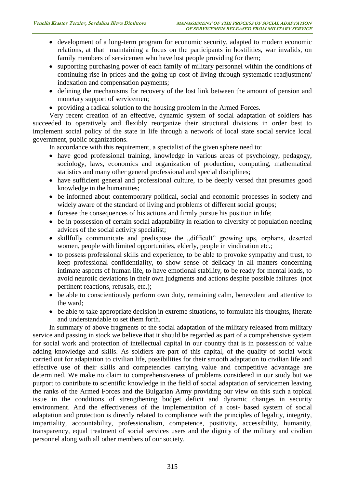- development of a long-term program for economic security, adapted to modern economic relations, at that maintaining a focus on the participants in hostilities, war invalids, on family members of servicemen who have lost people providing for them;
- supporting purchasing power of each family of military personnel within the conditions of continuing rise in prices and the going up cost of living through systematic readjustment/ indexation and compensation payments;
- defining the mechanisms for recovery of the lost link between the amount of pension and monetary support of servicemen;
- providing a radical solution to the housing problem in the Armed Forces.

Very recent creation of an effective, dynamic system of social adaptation of soldiers has succeeded to operatively and flexibly reorganize their structural divisions in order best to implement social policy of the state in life through a network of local state social service local government, public organizations.

In accordance with this requirement, a specialist of the given sphere need to:

- have good professional training, knowledge in various areas of psychology, pedagogy, sociology, laws, economics and organization of production, computing, mathematical statistics and many other general professional and special disciplines;
- have sufficient general and professional culture, to be deeply versed that presumes good knowledge in the humanities;
- be informed about contemporary political, social and economic processes in society and widely aware of the standard of living and problems of different social groups;
- foresee the consequences of his actions and firmly pursue his position in life;
- be in possession of certain social adaptability in relation to diversity of population needing advices of the social activity specialist;
- skillfully communicate and predispose the "difficult" growing ups, orphans, deserted women, people with limited opportunities, elderly, people in vindication etc.;
- to possess professional skills and experience, to be able to provoke sympathy and trust, to keep professional confidentiality, to show sense of delicacy in all matters concerning intimate aspects of human life, to have emotional stability, to be ready for mental loads, to avoid neurotic deviations in their own judgments and actions despite possible failures (not pertinent reactions, refusals, etc.);
- be able to conscientiously perform own duty, remaining calm, benevolent and attentive to the ward;
- be able to take appropriate decision in extreme situations, to formulate his thoughts, literate and understandable to set them forth.

In summary of above fragments of the social adaptation of the military released from military service and passing in stock we believe that it should be regarded as part of a comprehensive system for social work and protection of intellectual capital in our country that is in possession of value adding knowledge and skills. As soldiers are part of this capital, of the quality of social work carried out for adaptation to civilian life, possibilities for their smooth adaptation to civilian life and effective use of their skills and competencies carrying value and competitive advantage are determined. We make no claim to comprehensiveness of problems considered in our study but we purport to contribute to scientific knowledge in the field of social adaptation of servicemen leaving the ranks of the Armed Forces and the Bulgarian Army providing our view on this such a topical issue in the conditions of strengthening budget deficit and dynamic changes in security environment. And the effectiveness of the implementation of a cost- based system of social adaptation and protection is directly related to compliance with the principles of legality, integrity, impartiality, accountability, professionalism, competence, positivity, accessibility, humanity, transparency, equal treatment of social services users and the dignity of the military and civilian personnel along with all other members of our society.